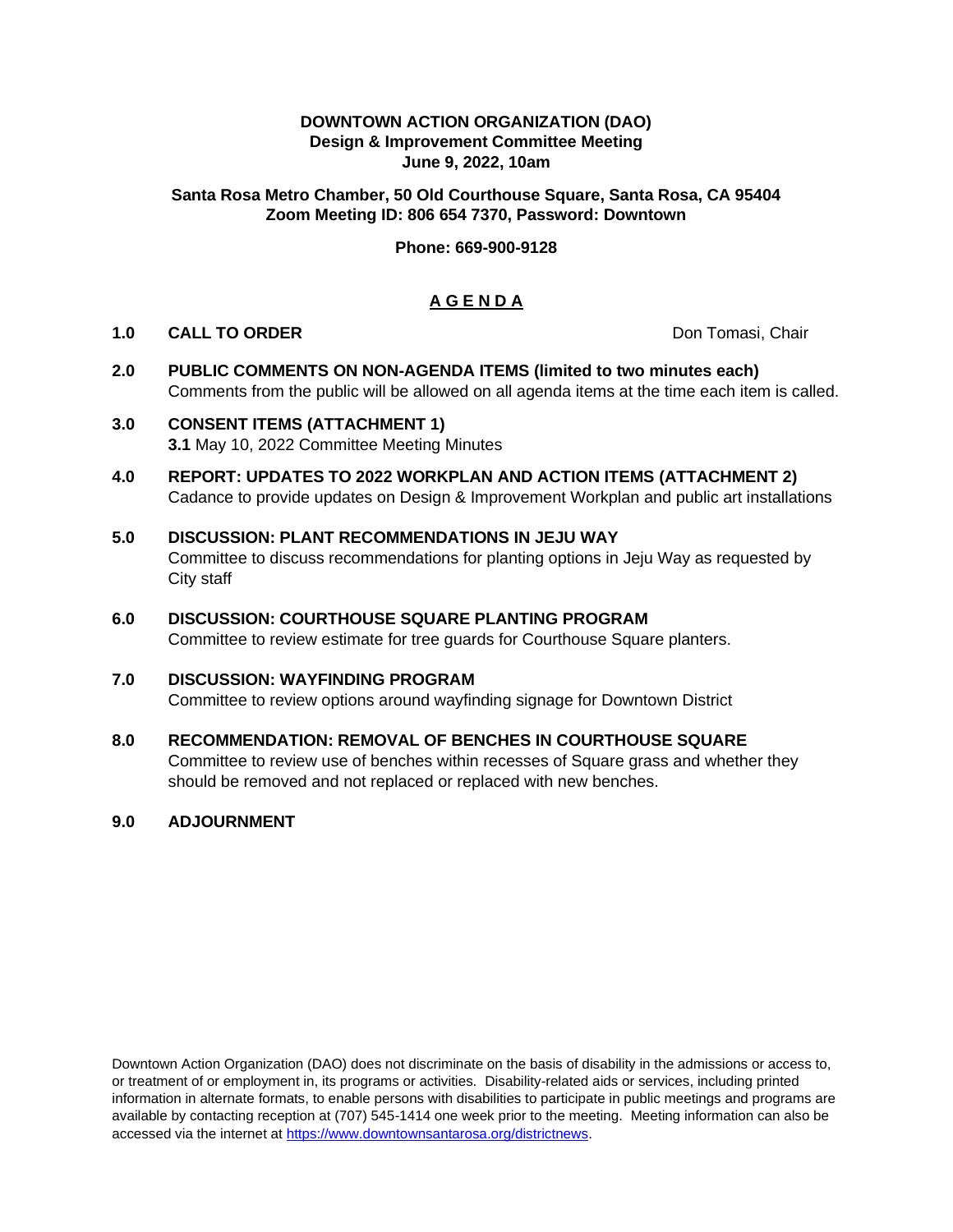#### **DOWNTOWN ACTION ORGANIZATION (DAO) Design & Improvement Committee Meeting June 9, 2022, 10am**

## **Santa Rosa Metro Chamber, 50 Old Courthouse Square, Santa Rosa, CA 95404 Zoom Meeting ID: 806 654 7370, Password: Downtown**

# **Phone: 669-900-9128**

# **A G E N D A**

#### **1.0 CALL TO ORDER Don Tomasi, Chair Don Tomasi, Chair**

**2.0 PUBLIC COMMENTS ON NON-AGENDA ITEMS (limited to two minutes each)** Comments from the public will be allowed on all agenda items at the time each item is called.

# **3.0 CONSENT ITEMS (ATTACHMENT 1) 3.1** May 10, 2022 Committee Meeting Minutes

- **4.0 REPORT: UPDATES TO 2022 WORKPLAN AND ACTION ITEMS (ATTACHMENT 2)** Cadance to provide updates on Design & Improvement Workplan and public art installations
- **5.0 DISCUSSION: PLANT RECOMMENDATIONS IN JEJU WAY** Committee to discuss recommendations for planting options in Jeju Way as requested by City staff
- **6.0 DISCUSSION: COURTHOUSE SQUARE PLANTING PROGRAM** Committee to review estimate for tree guards for Courthouse Square planters.

# **7.0 DISCUSSION: WAYFINDING PROGRAM**

Committee to review options around wayfinding signage for Downtown District

# **8.0 RECOMMENDATION: REMOVAL OF BENCHES IN COURTHOUSE SQUARE**

Committee to review use of benches within recesses of Square grass and whether they should be removed and not replaced or replaced with new benches.

#### **9.0 ADJOURNMENT**

Downtown Action Organization (DAO) does not discriminate on the basis of disability in the admissions or access to, or treatment of or employment in, its programs or activities. Disability-related aids or services, including printed information in alternate formats, to enable persons with disabilities to participate in public meetings and programs are available by contacting reception at (707) 545-1414 one week prior to the meeting. Meeting information can also be accessed via the internet at [https://www.downtownsantarosa.org/districtnews.](https://www.downtownsantarosa.org/districtnews)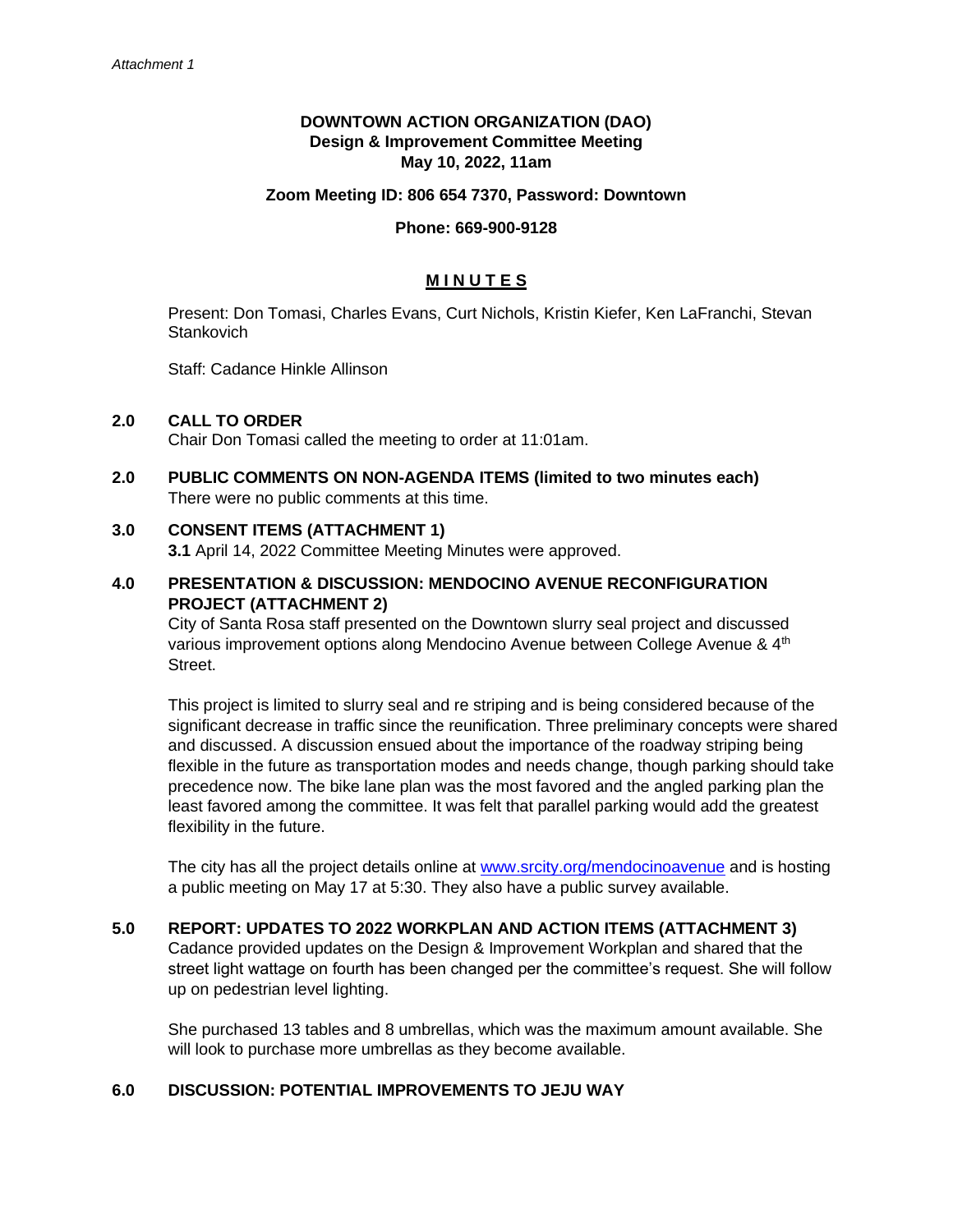# **DOWNTOWN ACTION ORGANIZATION (DAO) Design & Improvement Committee Meeting May 10, 2022, 11am**

#### **Zoom Meeting ID: 806 654 7370, Password: Downtown**

#### **Phone: 669-900-9128**

## **M I N U T E S**

Present: Don Tomasi, Charles Evans, Curt Nichols, Kristin Kiefer, Ken LaFranchi, Stevan **Stankovich** 

Staff: Cadance Hinkle Allinson

#### **2.0 CALL TO ORDER**

Chair Don Tomasi called the meeting to order at 11:01am.

**2.0 PUBLIC COMMENTS ON NON-AGENDA ITEMS (limited to two minutes each)** There were no public comments at this time.

#### **3.0 CONSENT ITEMS (ATTACHMENT 1)**

**3.1** April 14, 2022 Committee Meeting Minutes were approved.

# **4.0 PRESENTATION & DISCUSSION: MENDOCINO AVENUE RECONFIGURATION PROJECT (ATTACHMENT 2)**

City of Santa Rosa staff presented on the Downtown slurry seal project and discussed various improvement options along Mendocino Avenue between College Avenue & 4<sup>th</sup> Street.

This project is limited to slurry seal and re striping and is being considered because of the significant decrease in traffic since the reunification. Three preliminary concepts were shared and discussed. A discussion ensued about the importance of the roadway striping being flexible in the future as transportation modes and needs change, though parking should take precedence now. The bike lane plan was the most favored and the angled parking plan the least favored among the committee. It was felt that parallel parking would add the greatest flexibility in the future.

The city has all the project details online at [www.srcity.org/mendocinoavenue](http://www.srcity.org/mendocinoavenue) and is hosting a public meeting on May 17 at 5:30. They also have a public survey available.

# **5.0 REPORT: UPDATES TO 2022 WORKPLAN AND ACTION ITEMS (ATTACHMENT 3)**

Cadance provided updates on the Design & Improvement Workplan and shared that the street light wattage on fourth has been changed per the committee's request. She will follow up on pedestrian level lighting.

She purchased 13 tables and 8 umbrellas, which was the maximum amount available. She will look to purchase more umbrellas as they become available.

#### **6.0 DISCUSSION: POTENTIAL IMPROVEMENTS TO JEJU WAY**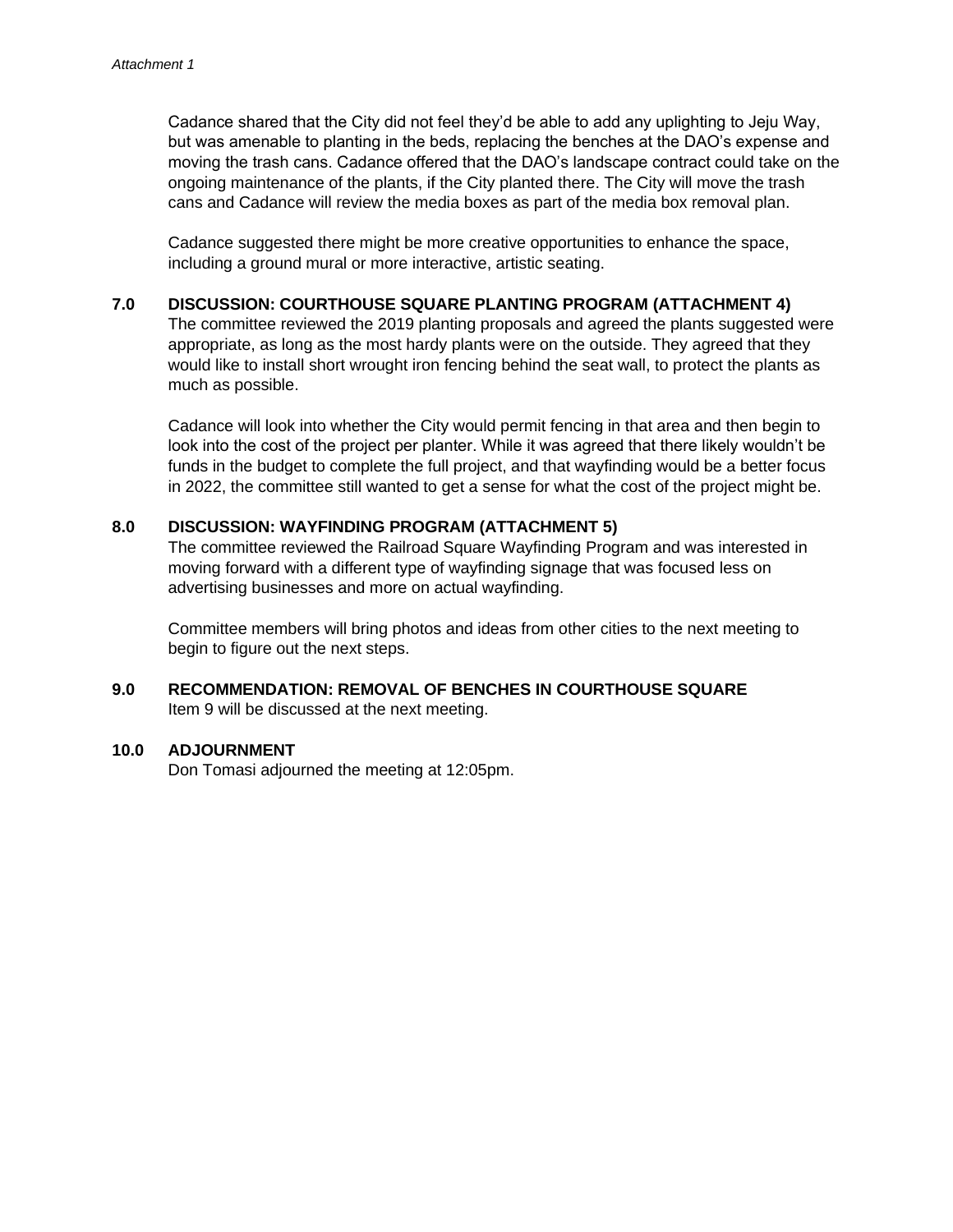Cadance shared that the City did not feel they'd be able to add any uplighting to Jeju Way, but was amenable to planting in the beds, replacing the benches at the DAO's expense and moving the trash cans. Cadance offered that the DAO's landscape contract could take on the ongoing maintenance of the plants, if the City planted there. The City will move the trash cans and Cadance will review the media boxes as part of the media box removal plan.

Cadance suggested there might be more creative opportunities to enhance the space, including a ground mural or more interactive, artistic seating.

#### **7.0 DISCUSSION: COURTHOUSE SQUARE PLANTING PROGRAM (ATTACHMENT 4)**

The committee reviewed the 2019 planting proposals and agreed the plants suggested were appropriate, as long as the most hardy plants were on the outside. They agreed that they would like to install short wrought iron fencing behind the seat wall, to protect the plants as much as possible.

Cadance will look into whether the City would permit fencing in that area and then begin to look into the cost of the project per planter. While it was agreed that there likely wouldn't be funds in the budget to complete the full project, and that wayfinding would be a better focus in 2022, the committee still wanted to get a sense for what the cost of the project might be.

# **8.0 DISCUSSION: WAYFINDING PROGRAM (ATTACHMENT 5)**

The committee reviewed the Railroad Square Wayfinding Program and was interested in moving forward with a different type of wayfinding signage that was focused less on advertising businesses and more on actual wayfinding.

Committee members will bring photos and ideas from other cities to the next meeting to begin to figure out the next steps.

# **9.0 RECOMMENDATION: REMOVAL OF BENCHES IN COURTHOUSE SQUARE** Item 9 will be discussed at the next meeting.

#### **10.0 ADJOURNMENT**

Don Tomasi adjourned the meeting at 12:05pm.